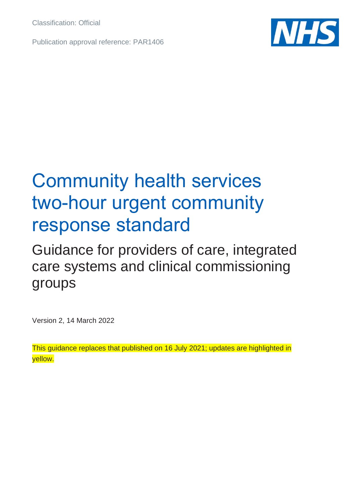Classification: Official

Publication approval reference: PAR1406



## Community health services two-hour urgent community response standard

## Guidance for providers of care, integrated care systems and clinical commissioning groups

Version 2, 14 March 2022

This guidance replaces that published on 16 July 2021; updates are highlighted in yellow.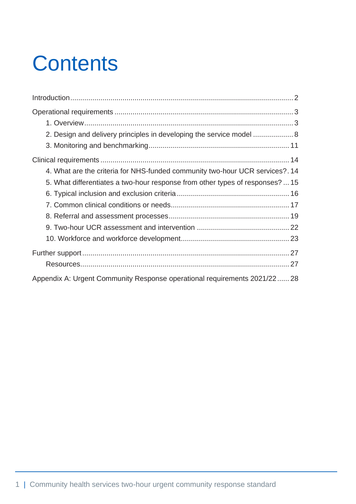# **Contents**

| 2. Design and delivery principles in developing the service model  8          |
|-------------------------------------------------------------------------------|
|                                                                               |
|                                                                               |
| 4. What are the criteria for NHS-funded community two-hour UCR services?. 14  |
| 5. What differentiates a two-hour response from other types of responses?  15 |
|                                                                               |
|                                                                               |
|                                                                               |
|                                                                               |
|                                                                               |
|                                                                               |
|                                                                               |
| Appendix A: Urgent Community Response operational requirements 2021/22 28     |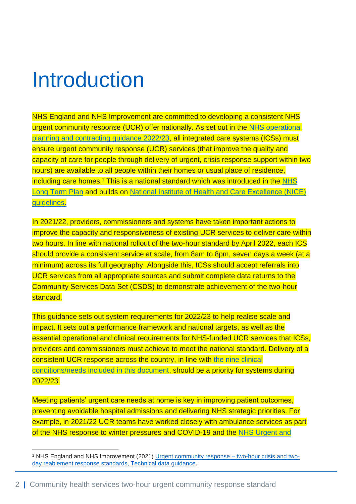## <span id="page-2-0"></span>Introduction

NHS England and NHS Improvement are committed to developing a consistent NHS urgent community response (UCR) offer nationally. As set out in the [NHS operational](https://www.england.nhs.uk/publication/2022-23-priorities-and-operational-planning-guidance/)  [planning and contracting guidance 2022/23,](https://www.england.nhs.uk/publication/2022-23-priorities-and-operational-planning-guidance/) all integrated care systems (ICSs) must ensure urgent community response (UCR) services (that improve the quality and capacity of care for people through delivery of urgent, crisis response support within two hours) are available to all people within their homes or usual place of residence, including care homes.<sup>1</sup> This is a national standard which was introduced in the NHS [Long Term Plan](https://www.longtermplan.nhs.uk/) and builds on [National Institute of Health and Care Excellence \(NICE\)](https://www.nice.org.uk/guidance/NG74)  [guidelines.](https://www.nice.org.uk/guidance/NG74)

In 2021/22, providers, commissioners and systems have taken important actions to improve the capacity and responsiveness of existing UCR services to deliver care within two hours. In line with national rollout of the two-hour standard by April 2022, each ICS should provide a consistent service at scale, from 8am to 8pm, seven days a week (at a minimum) across its full geography. Alongside this, ICSs should accept referrals into UCR services from all appropriate sources and submit complete data returns to the Community Services Data Set (CSDS) to demonstrate achievement of the two-hour standard.

This guidance sets out system requirements for 2022/23 to help realise scale and impact. It sets out a performance framework and national targets, as well as the essential operational and clinical requirements for NHS-funded UCR services that ICSs, providers and commissioners must achieve to meet the national standard. Delivery of a consistent UCR response across the country, in line with [the nine](#page-17-0) clinical [conditions/needs included in this document,](#page-17-0) should be a priority for systems during 2022/23.

Meeting patients' urgent care needs at home is key in improving patient outcomes, preventing avoidable hospital admissions and delivering NHS strategic priorities. For example, in 2021/22 UCR teams have worked closely with ambulance services as part of the NHS response to winter pressures and COVID-19 and the [NHS Urgent and](https://www.england.nhs.uk/wp-content/uploads/2021/09/Urgent-and-emergency-care-recovery-10-point-action-plan.pdf) 

<sup>1</sup> NHS England and NHS Improvement (2021) [Urgent community response –](https://www.england.nhs.uk/coronavirus/wp-content/uploads/sites/52/2020/12/B0651-urgent-community-response-2-hour-and-2-days-standards-guidance-may-2021.pdf) two-hour crisis and two[day reablement response standards, Technical data guidance.](https://www.england.nhs.uk/coronavirus/wp-content/uploads/sites/52/2020/12/B0651-urgent-community-response-2-hour-and-2-days-standards-guidance-may-2021.pdf)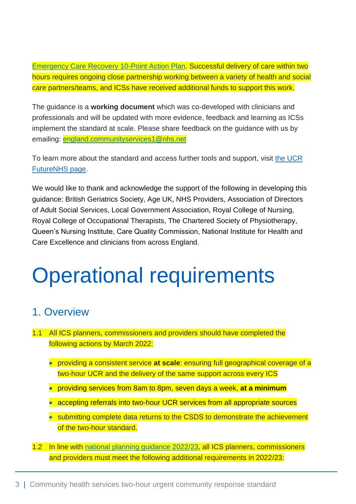[Emergency Care Recovery 10-Point Action Plan.](https://www.england.nhs.uk/wp-content/uploads/2021/09/Urgent-and-emergency-care-recovery-10-point-action-plan.pdf) Successful delivery of care within two hours requires ongoing close partnership working between a variety of health and social care partners/teams, and ICSs have received additional funds to support this work.

The guidance is a **working document** which was co-developed with clinicians and professionals and will be updated with more evidence, feedback and learning as ICSs implement the standard at scale. Please share feedback on the guidance with us by emailing: [england.communityservices1@nhs.net](mailto:england.communityservices1@nhs.net)

To learn more about the standard and access further tools and support, visit [the UCR](https://future.nhs.uk/CommunityHealthServices/view?objectID=16189712)  [FutureNHS page.](https://future.nhs.uk/CommunityHealthServices/view?objectID=16189712)

We would like to thank and acknowledge the support of the following in developing this guidance: British Geriatrics Society, Age UK, NHS Providers, Association of Directors of Adult Social Services, Local Government Association, Royal College of Nursing, Royal College of Occupational Therapists, The Chartered Society of Physiotherapy, Queen's Nursing Institute, Care Quality Commission, National Institute for Health and Care Excellence and clinicians from across England.

# <span id="page-3-0"></span>Operational requirements

## <span id="page-3-1"></span>1. Overview

- 1.1 All ICS planners, commissioners and providers should have completed the following actions by March 2022:
	- providing a consistent service **at scale**: ensuring full geographical coverage of a two-hour UCR and the delivery of the same support across every ICS
	- providing services from 8am to 8pm, seven days a week, **at a minimum**
	- accepting referrals into two-hour UCR services from all appropriate sources
	- submitting complete data returns to the CSDS to demonstrate the achievement of the two-hour standard.
- 1.2 In line with [national planning guidance 2022/23,](https://www.england.nhs.uk/publication/2022-23-priorities-and-operational-planning-guidance/) all ICS planners, commissioners and providers must meet the following additional requirements in 2022/23: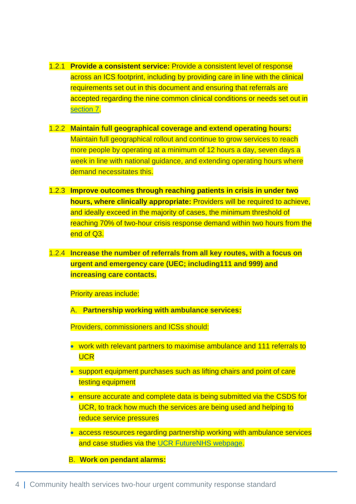- 1.2.1 **Provide a consistent service:** Provide a consistent level of response across an ICS footprint, including by providing care in line with the clinical requirements set out in this document and ensuring that referrals are accepted regarding the nine common clinical conditions or needs set out in [section](#page-17-0) 7.
- 1.2.2 **Maintain full geographical coverage and extend operating hours:**  Maintain full geographical rollout and continue to grow services to reach more people by operating at a minimum of 12 hours a day, seven days a week in line with national quidance, and extending operating hours where demand necessitates this.
- 1.2.3 **Improve outcomes through reaching patients in crisis in under two hours, where clinically appropriate:** Providers will be required to achieve, and ideally exceed in the majority of cases, the minimum threshold of reaching 70% of two-hour crisis response demand within two hours from the end of Q3.
- 1.2.4 **Increase the number of referrals from all key routes, with a focus on urgent and emergency care (UEC; including111 and 999) and increasing care contacts.**

Priority areas include:

A. **Partnership working with ambulance services:**

Providers, commissioners and ICSs should:

- work with relevant partners to maximise ambulance and 111 referrals to **UCR**
- support equipment purchases such as lifting chairs and point of care testing equipment
- ensure accurate and complete data is being submitted via the CSDS for UCR, to track how much the services are being used and helping to reduce service pressures
- access resources regarding partnership working with ambulance services and case studies via the [UCR FutureNHS](https://future.nhs.uk/connect.ti/CommunityHealthServices/view?objectID=16189712) webpage.

B. **Work on pendant alarms:**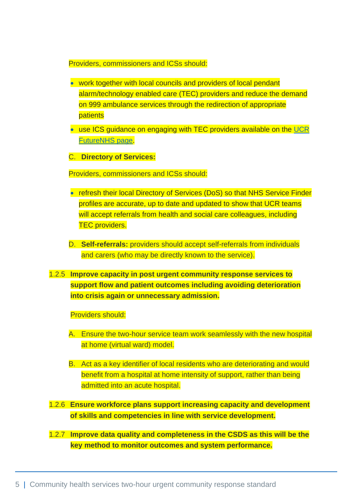Providers, commissioners and ICSs should:

- work together with local councils and providers of local pendant alarm/technology enabled care (TEC) providers and reduce the demand on 999 ambulance services through the redirection of appropriate patients
- use ICS guidance on engaging with TEC providers available on the UCR [FutureNHS](https://future.nhs.uk/connect.ti/CommunityHealthServices/view?objectID=16189712) page.
- C. **Directory of Services:**

Providers, commissioners and ICSs should:

- refresh their local Directory of Services (DoS) so that NHS Service Finder profiles are accurate, up to date and updated to show that UCR teams will accept referrals from health and social care colleagues, including **TEC** providers.
- D. **Self-referrals:** providers should accept self-referrals from individuals and carers (who may be directly known to the service).
- 1.2.5 **Improve capacity in post urgent community response services to support flow and patient outcomes including avoiding deterioration into crisis again or unnecessary admission.**

Providers should:

- A. Ensure the two-hour service team work seamlessly with the new hospital at home (virtual ward) model.
- B. Act as a key identifier of local residents who are deteriorating and would benefit from a hospital at home intensity of support, rather than being admitted into an acute hospital.

1.2.6 **Ensure workforce plans support increasing capacity and development of skills and competencies in line with service development.**

1.2.7 **Improve data quality and completeness in the CSDS as this will be the key method to monitor outcomes and system performance.**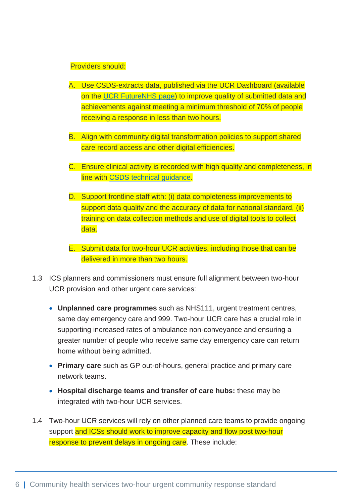#### Providers should:

- A. Use CSDS-extracts data, published via the UCR Dashboard (available on the [UCR FutureNHS](https://future.nhs.uk/connect.ti/CommunityHealthServices/view?objectID=16189712) page) to improve quality of submitted data and achievements against meeting a minimum threshold of 70% of people receiving a response in less than two hours.
- B. Align with community digital transformation policies to support shared care record access and other digital efficiencies.
- C. Ensure clinical activity is recorded with high quality and completeness, in line with [CSDS technical guidance.](https://www.england.nhs.uk/coronavirus/publication/urgent-community-response-two-hour-and-two-day-response-standards-2020-21-technical-data-guidance/)
- D. Support frontline staff with: (i) data completeness improvements to support data quality and the accuracy of data for national standard, (ii) training on data collection methods and use of digital tools to collect data.
- E. Submit data for two-hour UCR activities, including those that can be delivered in more than two hours.
- 1.3 ICS planners and commissioners must ensure full alignment between two-hour UCR provision and other urgent care services:
	- **Unplanned care programmes** such as NHS111, urgent treatment centres, same day emergency care and 999. Two-hour UCR care has a crucial role in supporting increased rates of ambulance non-conveyance and ensuring a greater number of people who receive same day emergency care can return home without being admitted.
	- **Primary care** such as GP out-of-hours, general practice and primary care network teams.
	- **Hospital discharge teams and transfer of care hubs:** these may be integrated with two-hour UCR services.
- 1.4 Two-hour UCR services will rely on other planned care teams to provide ongoing support and ICSs should work to improve capacity and flow post two-hour response to prevent delays in ongoing care. These include: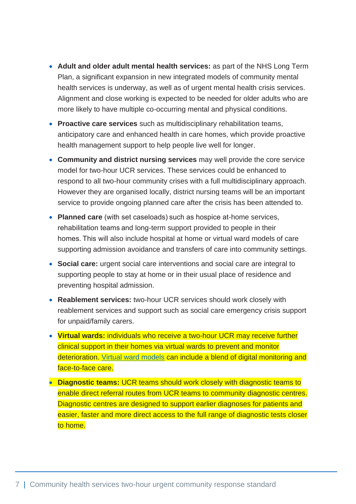- **Adult and older adult mental health services:** as part of the NHS Long Term Plan, a significant expansion in new integrated models of community mental health services is underway, as well as of urgent mental health crisis services. Alignment and close working is expected to be needed for older adults who are more likely to have multiple co-occurring mental and physical conditions.
- **Proactive care services** such as multidisciplinary rehabilitation teams, anticipatory care and enhanced health in care homes, which provide proactive health management support to help people live well for longer.
- **Community and district nursing services** may well provide the core service model for two-hour UCR services. These services could be enhanced to respond to all two-hour community crises with a full multidisciplinary approach. However they are organised locally, district nursing teams will be an important service to provide ongoing planned care after the crisis has been attended to.
- **Planned care** (with set caseloads) such as hospice at-home services, rehabilitation teams and long-term support provided to people in their homes. This will also include hospital at home or virtual ward models of care supporting admission avoidance and transfers of care into community settings.
- **Social care:** urgent social care interventions and social care are integral to supporting people to stay at home or in their usual place of residence and preventing hospital admission.
- **Reablement services:** two-hour UCR services should work closely with reablement services and support such as social care emergency crisis support for unpaid/family carers.
- **[Virtual wards:](https://www.england.nhs.uk/virtual-wards/)** individuals who receive a two-hour UCR may receive further clinical support in their homes via virtual wards to prevent and monitor deterioration. [Virtual ward models](https://www.england.nhs.uk/virtual-wards/) can include a blend of digital monitoring and face-to-face care.
- **Diagnostic teams:** UCR teams should work closely with diagnostic teams to enable direct referral routes from UCR teams to community diagnostic centres. [Diagnostic centres](https://www.gov.uk/government/news/40-community-diagnostic-centres-launching-across-england) are designed to support earlier diagnoses for patients and easier, faster and more direct access to the full range of diagnostic tests closer to home.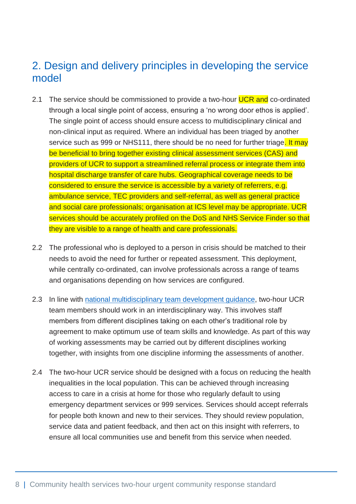## <span id="page-8-0"></span>2. Design and delivery principles in developing the service model

- 2.1 The service should be commissioned to provide a two-hour **UCR and** co-ordinated through a local single point of access, ensuring a 'no wrong door ethos is applied'. The single point of access should ensure access to multidisciplinary clinical and non-clinical input as required. Where an individual has been triaged by another service such as 999 or NHS111, there should be no need for further triage. It may be beneficial to bring together existing clinical assessment services (CAS) and providers of UCR to support a streamlined referral process or integrate them into hospital discharge transfer of care hubs. Geographical coverage needs to be considered to ensure the service is accessible by a variety of referrers, e.g. ambulance service, TEC providers and self-referral, as well as general practice and social care professionals; organisation at ICS level may be appropriate. UCR services should be accurately profiled on the DoS and NHS Service Finder so that they are visible to a range of health and care professionals.
- 2.2 The professional who is deployed to a person in crisis should be matched to their needs to avoid the need for further or repeated assessment. This deployment, while centrally co-ordinated, can involve professionals across a range of teams and organisations depending on how services are configured.
- 2.3 In line with [national multidisciplinary team](ttps://www.england.nhs.uk/wp-content/uploads/2015/01/mdt-dev-guid-flat-fin.pdf) development guidance, two-hour UCR team members should work in an interdisciplinary way. This involves staff members from different disciplines taking on each other's traditional role by agreement to make optimum use of team skills and knowledge. As part of this way of working assessments may be carried out by different disciplines working together, with insights from one discipline informing the assessments of another.
- 2.4 The two-hour UCR service should be designed with a focus on reducing the health inequalities in the local population. This can be achieved through increasing access to care in a crisis at home for those who regularly default to using emergency department services or 999 services. Services should accept referrals for people both known and new to their services. They should review population, service data and patient feedback, and then act on this insight with referrers, to ensure all local communities use and benefit from this service when needed.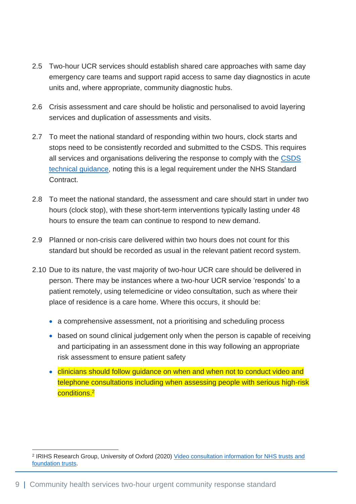- 2.5 Two-hour UCR services should establish shared care approaches with same day emergency care teams and support rapid access to same day diagnostics in acute units and, where appropriate, community diagnostic hubs.
- 2.6 Crisis assessment and care should be holistic and personalised to avoid layering services and duplication of assessments and visits.
- 2.7 To meet the national standard of responding within two hours, clock starts and stops need to be consistently recorded and submitted to the CSDS. This requires all services and organisations delivering the response to comply with the [CSDS](https://www.england.nhs.uk/coronavirus/publication/urgent-community-response-two-hour-and-two-day-response-standards-2020-21-technical-data-guidance/)  [technical guidance,](https://www.england.nhs.uk/coronavirus/publication/urgent-community-response-two-hour-and-two-day-response-standards-2020-21-technical-data-guidance/) noting this is a legal requirement under the NHS Standard Contract.
- 2.8 To meet the national standard, the assessment and care should start in under two hours (clock stop), with these short-term interventions typically lasting under 48 hours to ensure the team can continue to respond to new demand.
- 2.9 Planned or non-crisis care delivered within two hours does not count for this standard but should be recorded as usual in the relevant patient record system.
- 2.10 Due to its nature, the vast majority of two-hour UCR care should be delivered in person. There may be instances where a two-hour UCR service 'responds' to a patient remotely, using telemedicine or video consultation, such as where their place of residence is a care home. Where this occurs, it should be:
	- a comprehensive assessment, not a prioritising and scheduling process
	- based on sound clinical judgement only when the person is capable of receiving and participating in an assessment done in this way following an appropriate risk assessment to ensure patient safety
	- clinicians should follow quidance on when and when not to conduct video and telephone consultations including when assessing people with serious high-risk conditions. 2

<sup>&</sup>lt;sup>2</sup> IRIHS Research Group, University of Oxford (2020) Video consultation information for NHS trusts and [foundation trusts.](https://www.england.nhs.uk/coronavirus/wp-content/uploads/sites/52/2020/08/C0638-nhs-vc-info-for-nhs-trusts.pdf)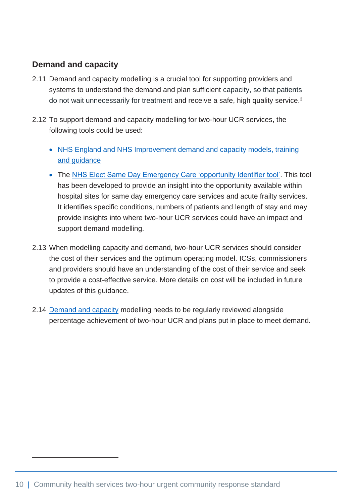## **Demand and capacity**

- 2.11 Demand and capacity modelling is a crucial tool for supporting providers and systems to understand the demand and plan sufficient capacity, so that patients do not wait unnecessarily for treatment and receive a safe, high quality service.<sup>3</sup>
- 2.12 To support demand and capacity modelling for two-hour UCR services, the following tools could be used:
	- NHS England and NHS Improvement demand and capacity models, training [and guidance](https://www.england.nhs.uk/ourwork/demand-and-capacity/)
	- The [NHS Elect Same Day Emergency Care 'opportunity Identifier tool'.](https://future.nhs.uk/connect.ti/SDEC_CommunityofPractice/view?objectID=22746256) This tool has been developed to provide an insight into the opportunity available within hospital sites for same day emergency care services and acute frailty services. It identifies specific conditions, numbers of patients and length of stay and may provide insights into where two-hour UCR services could have an impact and support demand modelling.
- 2.13 When modelling capacity and demand, two-hour UCR services should consider the cost of their services and the optimum operating model. ICSs, commissioners and providers should have an understanding of the cost of their service and seek to provide a cost-effective service. More details on cost will be included in future updates of this guidance.
- 2.14 [Demand and capacity](https://www.england.nhs.uk/ourwork/demand-and-capacity/) modelling needs to be regularly reviewed alongside percentage achievement of two-hour UCR and plans put in place to meet demand.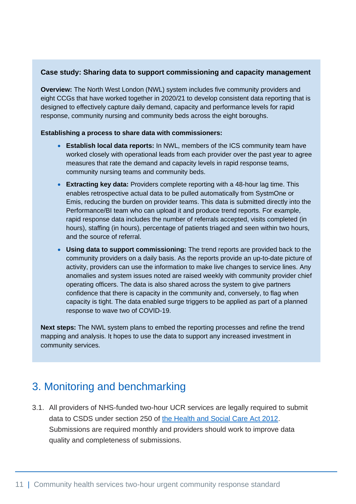#### **Case study: Sharing data to support commissioning and capacity management**

**Overview:** The North West London (NWL) system includes five community providers and eight CCGs that have worked together in 2020/21 to develop consistent data reporting that is designed to effectively capture daily demand, capacity and performance levels for rapid response, community nursing and community beds across the eight boroughs.

#### **Establishing a process to share data with commissioners:**

- **Establish local data reports:** In NWL, members of the ICS community team have worked closely with operational leads from each provider over the past year to agree measures that rate the demand and capacity levels in rapid response teams, community nursing teams and community beds.
- **Extracting key data:** Providers complete reporting with a 48-hour lag time. This enables retrospective actual data to be pulled automatically from SystmOne or Emis, reducing the burden on provider teams. This data is submitted directly into the Performance/BI team who can upload it and produce trend reports. For example, rapid response data includes the number of referrals accepted, visits completed (in hours), staffing (in hours), percentage of patients triaged and seen within two hours, and the source of referral.
- **Using data to support commissioning:** The trend reports are provided back to the community providers on a daily basis. As the reports provide an up-to-date picture of activity, providers can use the information to make live changes to service lines. Any anomalies and system issues noted are raised weekly with community provider chief operating officers. The data is also shared across the system to give partners confidence that there is capacity in the community and, conversely, to flag when capacity is tight. The data enabled surge triggers to be applied as part of a planned response to wave two of COVID-19.

**Next steps:** The NWL system plans to embed the reporting processes and refine the trend mapping and analysis. It hopes to use the data to support any increased investment in community services.

## <span id="page-11-0"></span>3. Monitoring and benchmarking

3.1. All providers of NHS-funded two-hour UCR services are legally required to submit data to CSDS under section 250 of [the Health and Social Care Act 2012.](https://www.legislation.gov.uk/ukpga/2012/7/section/250) Submissions are required monthly and providers should work to improve data quality and completeness of submissions.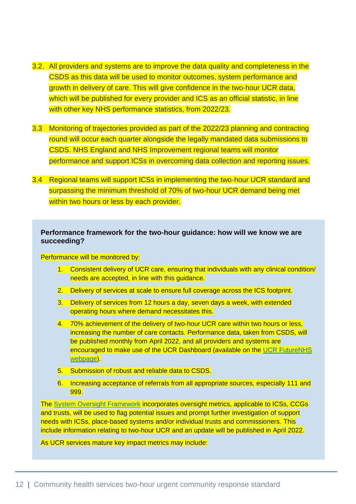- 3.2. All providers and systems are to improve the data quality and completeness in the CSDS as this data will be used to monitor outcomes, system performance and growth in delivery of care. This will give confidence in the two-hour UCR data, which will be published for every provider and ICS as an official statistic, in line with other key NHS performance statistics, from 2022/23.
- 3.3 Monitoring of trajectories provided as part of the 2022/23 planning and contracting round will occur each quarter alongside the legally mandated data submissions to CSDS. NHS England and NHS Improvement regional teams will monitor performance and support ICSs in overcoming data collection and reporting issues.
- 3.4 Regional teams will support ICSs in implementing the two-hour UCR standard and surpassing the minimum threshold of 70% of two-hour UCR demand being met within two hours or less by each provider.

#### **Performance framework for the two-hour guidance: how will we know we are succeeding?**

Performance will be monitored by:

- 1. Consistent delivery of UCR care, ensuring that individuals with any clinical condition/ needs are accepted, in line with this guidance.
- 2. Delivery of services at scale to ensure full coverage across the ICS footprint.
- 3. Delivery of services from 12 hours a day, seven days a week, with extended operating hours where demand necessitates this.
- 4. 70% achievement of the delivery of two-hour UCR care within two hours or less, increasing the number of care contacts. Performance data, taken from CSDS, will be published monthly from April 2022, and all providers and systems are encouraged to make use of the UCR Dashboard (available on the [UCR FutureNHS](https://future.nhs.uk/CommunityHealthServices/view?objectID=29617648) [webpage\)](https://future.nhs.uk/CommunityHealthServices/view?objectID=29617648).
- 5. Submission of robust and reliable data to CSDS.
- 6. Increasing acceptance of referrals from all appropriate sources, especially 111 and 999.

The [System Oversight Framework](https://www.england.nhs.uk/publication/system-oversight-framework-2021-22/) incorporates oversight metrics, applicable to ICSs, CCGs and trusts, will be used to flag potential issues and prompt further investigation of support needs with ICSs, place-based systems and/or individual trusts and commissioners. This include information relating to two-hour UCR and an update will be published in April 2022.

As UCR services mature key impact metrics may include: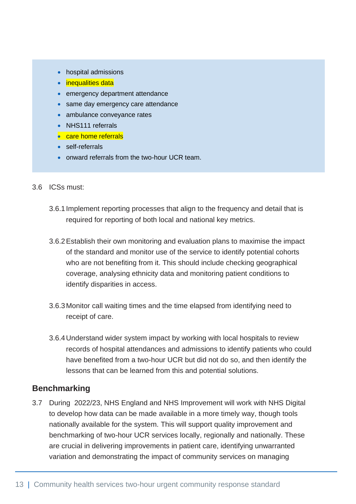- hospital admissions
- inequalities data
- emergency department attendance
- same day emergency care attendance
- ambulance conveyance rates
- NHS111 referrals
- care home referrals
- self-referrals
- onward referrals from the two-hour UCR team.
- 3.6 ICSs must:
	- 3.6.1Implement reporting processes that align to the frequency and detail that is required for reporting of both local and national key metrics.
	- 3.6.2Establish their own monitoring and evaluation plans to maximise the impact of the standard and monitor use of the service to identify potential cohorts who are not benefiting from it. This should include checking geographical coverage, analysing ethnicity data and monitoring patient conditions to identify disparities in access.
	- 3.6.3Monitor call waiting times and the time elapsed from identifying need to receipt of care.
	- 3.6.4Understand wider system impact by working with local hospitals to review records of hospital attendances and admissions to identify patients who could have benefited from a two-hour UCR but did not do so, and then identify the lessons that can be learned from this and potential solutions.

### **Benchmarking**

3.7 During 2022/23, NHS England and NHS Improvement will work with NHS Digital to develop how data can be made available in a more timely way, though tools nationally available for the system. This will support quality improvement and benchmarking of two-hour UCR services locally, regionally and nationally. These are crucial in delivering improvements in patient care, identifying unwarranted variation and demonstrating the impact of community services on managing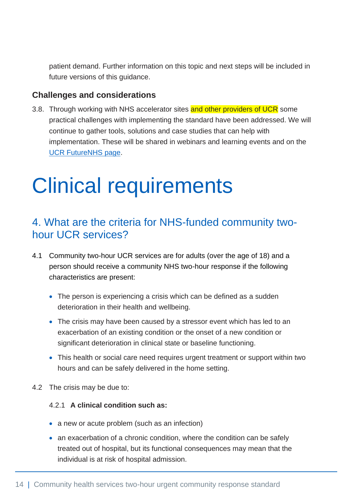patient demand. Further information on this topic and next steps will be included in future versions of this guidance.

### **Challenges and considerations**

3.8. Through working with NHS accelerator sites and other providers of UCR some practical challenges with implementing the standard have been addressed. We will continue to gather tools, solutions and case studies that can help with implementation. These will be shared in webinars and learning events and on the UCR [FutureNHS](https://future.nhs.uk/CommunityHealthServices/view?objectID=16189712) page.

## <span id="page-14-0"></span>Clinical requirements

## <span id="page-14-1"></span>4. What are the criteria for NHS-funded community twohour UCR services?

- 4.1 Community two-hour UCR services are for adults (over the age of 18) and a person should receive a community NHS two-hour response if the following characteristics are present:
	- The person is experiencing a crisis which can be defined as a sudden deterioration in their health and wellbeing.
	- The crisis may have been caused by a stressor event which has led to an exacerbation of an existing condition or the onset of a new condition or significant deterioration in clinical state or baseline functioning.
	- This health or social care need requires urgent treatment or support within two hours and can be safely delivered in the home setting.
- 4.2 The crisis may be due to:

#### 4.2.1 **A clinical condition such as:**

- a new or acute problem (such as an infection)
- an exacerbation of a chronic condition, where the condition can be safely treated out of hospital, but its functional consequences may mean that the individual is at risk of hospital admission.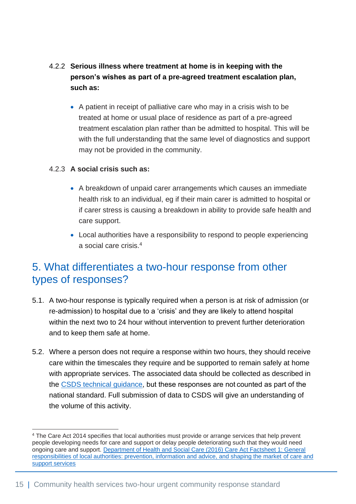- 4.2.2 **Serious illness where treatment at home is in keeping with the person's wishes as part of a pre-agreed treatment escalation plan, such as:**
	- A patient in receipt of palliative care who may in a crisis wish to be treated at home or usual place of residence as part of a pre-agreed treatment escalation plan rather than be admitted to hospital. This will be with the full understanding that the same level of diagnostics and support may not be provided in the community.

### 4.2.3 **A social crisis such as:**

- A breakdown of unpaid carer arrangements which causes an immediate health risk to an individual, eg if their main carer is admitted to hospital or if carer stress is causing a breakdown in ability to provide safe health and care support.
- Local authorities have a responsibility to respond to people experiencing a social care crisis.<sup>4</sup>

## <span id="page-15-0"></span>5. What differentiates a two-hour response from other types of responses?

- 5.1. A two-hour response is typically required when a person is at risk of admission (or re-admission) to hospital due to a 'crisis' and they are likely to attend hospital within the next two to 24 hour without intervention to prevent further deterioration and to keep them safe at home.
- 5.2. Where a person does not require a response within two hours, they should receive care within the timescales they require and be supported to remain safely at home with appropriate services. The associated data should be collected as described in the [CSDS technical guidance,](https://www.england.nhs.uk/coronavirus/publication/urgent-community-response-two-hour-and-two-day-response-standards-2020-21-technical-data-guidance/) but these responses are not counted as part of the national standard. Full submission of data to CSDS will give an understanding of the volume of this activity.

<sup>4</sup> The Care Act 2014 specifies that local authorities must provide or arrange services that help prevent people developing needs for care and support or delay people deteriorating such that they would need ongoing care and support. [Department of Health and Social Care \(2016\) Care Act Factsheet 1: General](https://www.gov.uk/government/publications/care-act-2014-part-1-factsheets/care-act-factsheets)  [responsibilities of local authorities: prevention, information and advice, and shaping the market](https://www.gov.uk/government/publications/care-act-2014-part-1-factsheets/care-act-factsheets) of care and [support services](https://www.gov.uk/government/publications/care-act-2014-part-1-factsheets/care-act-factsheets)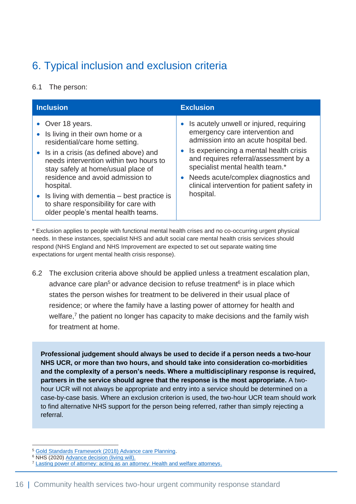## <span id="page-16-0"></span>6. Typical inclusion and exclusion criteria

6.1 The person:

| <b>Inclusion</b>                                                                                                                                                                                                                                                                                                                                                                                       | <b>Exclusion</b>                                                                                                                                                                                                                                                                                                                             |
|--------------------------------------------------------------------------------------------------------------------------------------------------------------------------------------------------------------------------------------------------------------------------------------------------------------------------------------------------------------------------------------------------------|----------------------------------------------------------------------------------------------------------------------------------------------------------------------------------------------------------------------------------------------------------------------------------------------------------------------------------------------|
| • Over 18 years.<br>• Is living in their own home or a<br>residential/care home setting.<br>• Is in a crisis (as defined above) and<br>needs intervention within two hours to<br>stay safely at home/usual place of<br>residence and avoid admission to<br>hospital.<br>• Is living with dementia $-$ best practice is<br>to share responsibility for care with<br>older people's mental health teams. | Is acutely unwell or injured, requiring<br>emergency care intervention and<br>admission into an acute hospital bed.<br>Is experiencing a mental health crisis<br>and requires referral/assessment by a<br>specialist mental health team.*<br>Needs acute/complex diagnostics and<br>clinical intervention for patient safety in<br>hospital. |

\* Exclusion applies to people with functional mental health crises and no co-occurring urgent physical needs. In these instances, specialist NHS and adult social care mental health crisis services should respond (NHS England and NHS Improvement are expected to set out separate waiting time expectations for urgent mental health crisis response).

6.2 The exclusion criteria above should be applied unless a treatment escalation plan, advance care plan<sup>5</sup> or advance decision to refuse treatment<sup>6</sup> is in place which states the person wishes for treatment to be delivered in their usual place of residence; or where the family have a lasting power of attorney for health and welfare,<sup>7</sup> the patient no longer has capacity to make decisions and the family wish for treatment at home.

**Professional judgement should always be used to decide if a person needs a two-hour NHS UCR, or more than two hours, and should take into consideration co-morbidities and the complexity of a person's needs. Where a multidisciplinary response is required, partners in the service should agree that the response is the most appropriate.** A twohour UCR will not always be appropriate and entry into a service should be determined on a case-by-case basis. Where an exclusion criterion is used, the two-hour UCR team should work to find alternative NHS support for the person being referred, rather than simply rejecting a referral.

<sup>5</sup> [Gold Standards Framework \(2018\) Advance care Planning.](https://www.goldstandardsframework.org.uk/advance-care-planning#:~:text=%E2%80%98Advance%20care%20planning%E2%80%99%20%28ACP%29%20is%20the%20term%20used,about%20their%20future%20wishes%20and%20priorities%20for%20care.) 

<sup>&</sup>lt;sup>6</sup> NHS (2020[\) Advance decision \(living will\).](https://www.nhs.uk/conditions/end-of-life-care/advance-decision-to-refuse-treatment/)

<sup>7</sup> [Lasting power of attorney: acting as an attorney: Health and welfare attorneys.](https://www.gov.uk/lasting-power-attorney-duties/health-welfare)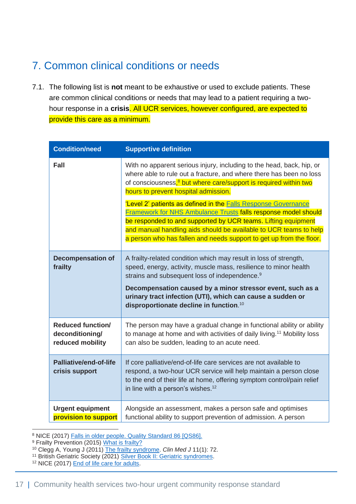## <span id="page-17-0"></span>7. Common clinical conditions or needs

7.1. The following list is **not** meant to be exhaustive or used to exclude patients. These are common clinical conditions or needs that may lead to a patient requiring a twohour response in a **crisis**. All UCR services, however configured, are expected to provide this care as a minimum.

| <b>Condition/need</b>                                           | <b>Supportive definition</b>                                                                                                                                                                                                                                                                                                                                                          |
|-----------------------------------------------------------------|---------------------------------------------------------------------------------------------------------------------------------------------------------------------------------------------------------------------------------------------------------------------------------------------------------------------------------------------------------------------------------------|
| <b>Fall</b>                                                     | With no apparent serious injury, including to the head, back, hip, or<br>where able to rule out a fracture, and where there has been no loss<br>of consciousness, <sup>8</sup> but where care/support is required within two<br>hours to prevent hospital admission.                                                                                                                  |
|                                                                 | 'Level 2' patients as defined in the Falls Response Governance<br><b>Framework for NHS Ambulance Trusts falls response model should</b><br>be responded to and supported by UCR teams. Lifting equipment<br>and manual handling aids should be available to UCR teams to help<br>a person who has fallen and needs support to get up from the floor.                                  |
| <b>Decompensation of</b><br>frailty                             | A frailty-related condition which may result in loss of strength,<br>speed, energy, activity, muscle mass, resilience to minor health<br>strains and subsequent loss of independence. <sup>9</sup><br>Decompensation caused by a minor stressor event, such as a<br>urinary tract infection (UTI), which can cause a sudden or<br>disproportionate decline in function. <sup>10</sup> |
| <b>Reduced function/</b><br>deconditioning/<br>reduced mobility | The person may have a gradual change in functional ability or ability<br>to manage at home and with activities of daily living. <sup>11</sup> Mobility loss<br>can also be sudden, leading to an acute need.                                                                                                                                                                          |
| <b>Palliative/end-of-life</b><br>crisis support                 | If core palliative/end-of-life care services are not available to<br>respond, a two-hour UCR service will help maintain a person close<br>to the end of their life at home, offering symptom control/pain relief<br>in line with a person's wishes. <sup>12</sup>                                                                                                                     |
| <b>Urgent equipment</b><br>provision to support                 | Alongside an assessment, makes a person safe and optimises<br>functional ability to support prevention of admission. A person                                                                                                                                                                                                                                                         |

8 NICE (2017) [Falls in older people. Quality Standard 86 \[QS86\].](https://www.nice.org.uk/guidance/qs86)

- <sup>9</sup> Frailty Prevention (2015) [What is frailty?](https://www.frailtyprevention.co.uk/what-is-frailty.html)
- <sup>10</sup> Clegg A, Young J (2011) [The frailty syndrome.](http://www.rcpjournals.org/content/11/1/72.abstract) *Clin Med J* 11(1): 72.
- <sup>11</sup> British Geriatric Society (2021) [Silver Book II: Geriatric syndromes.](https://www.bgs.org.uk/resources/silver-book-ii-geriatric-syndromes)
- <sup>12</sup> NICE (2017) [End of life care for adults.](https://www.nice.org.uk/guidance/QS13)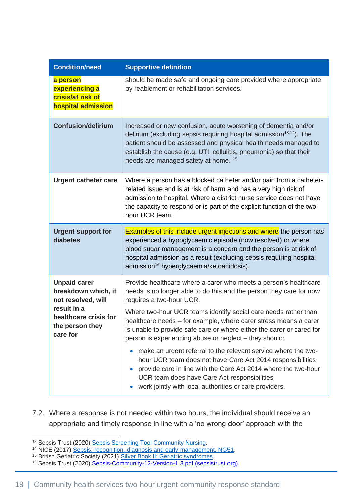| <b>Supportive definition</b>                                                                                                                                                                                                                                                                                                                                                                                                                                                                                                                                                                                                                                                                                                                              |
|-----------------------------------------------------------------------------------------------------------------------------------------------------------------------------------------------------------------------------------------------------------------------------------------------------------------------------------------------------------------------------------------------------------------------------------------------------------------------------------------------------------------------------------------------------------------------------------------------------------------------------------------------------------------------------------------------------------------------------------------------------------|
| should be made safe and ongoing care provided where appropriate<br>by reablement or rehabilitation services.                                                                                                                                                                                                                                                                                                                                                                                                                                                                                                                                                                                                                                              |
| Increased or new confusion, acute worsening of dementia and/or<br>delirium (excluding sepsis requiring hospital admission <sup>13,14</sup> ). The<br>patient should be assessed and physical health needs managed to<br>establish the cause (e.g. UTI, cellulitis, pneumonia) so that their<br>needs are managed safety at home. <sup>15</sup>                                                                                                                                                                                                                                                                                                                                                                                                            |
| Where a person has a blocked catheter and/or pain from a catheter-<br>related issue and is at risk of harm and has a very high risk of<br>admission to hospital. Where a district nurse service does not have<br>the capacity to respond or is part of the explicit function of the two-<br>hour UCR team.                                                                                                                                                                                                                                                                                                                                                                                                                                                |
| <b>Examples of this include urgent injections and where</b> the person has<br>experienced a hypoglycaemic episode (now resolved) or where<br>blood sugar management is a concern and the person is at risk of<br>hospital admission as a result (excluding sepsis requiring hospital<br>admission <sup>16</sup> hyperglycaemia/ketoacidosis).                                                                                                                                                                                                                                                                                                                                                                                                             |
| Provide healthcare where a carer who meets a person's healthcare<br>needs is no longer able to do this and the person they care for now<br>requires a two-hour UCR.<br>Where two-hour UCR teams identify social care needs rather than<br>healthcare needs - for example, where carer stress means a carer<br>is unable to provide safe care or where either the carer or cared for<br>person is experiencing abuse or neglect - they should:<br>make an urgent referral to the relevant service where the two-<br>hour UCR team does not have Care Act 2014 responsibilities<br>provide care in line with the Care Act 2014 where the two-hour<br>UCR team does have Care Act responsibilities<br>work jointly with local authorities or care providers. |
|                                                                                                                                                                                                                                                                                                                                                                                                                                                                                                                                                                                                                                                                                                                                                           |

7.2. Where a response is not needed within two hours, the individual should receive an appropriate and timely response in line with a 'no wrong door' approach with the

<sup>&</sup>lt;sup>13</sup> Sepsis Trust (2020) [Sepsis Screening Tool Community Nursing.](https://sepsistrust.org/wp-content/uploads/2020/08/Sepsis-Community-12-Version-1.3.pdf)

<sup>14</sup> NICE (2017) [Sepsis: recognition, diagnosis and early management. NG51.](https://www.nice.org.uk/guidance/ng51)

<sup>&</sup>lt;sup>15</sup> British Geriatric Society (2021) [Silver Book II: Geriatric syndromes.](https://www.bgs.org.uk/resources/silver-book-ii-geriatric-syndromes)

<sup>&</sup>lt;sup>16</sup> Sepsis Trust (2020) [Sepsis-Community-12-Version-1.3.pdf \(sepsistrust.org\)](https://sepsistrust.org/wp-content/uploads/2020/08/Sepsis-Community-12-Version-1.3.pdf)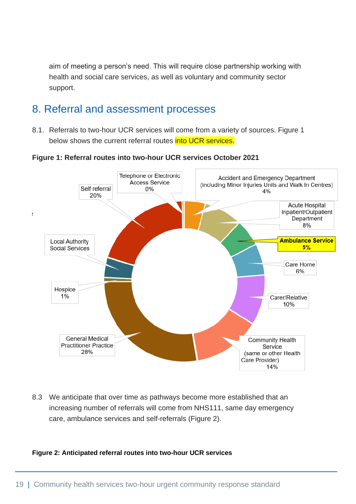aim of meeting a person's need. This will require close partnership working with health and social care services, as well as voluntary and community sector support.

## <span id="page-19-0"></span>8. Referral and assessment processes

8.1. Referrals to two-hour UCR services will come from a variety of sources. Figure 1 below shows the current referral routes **into UCR services.** 

Telephone or Electronic Accident and Emergency Department Access Service (including Minor Injuries Units and Walk In Centres) Self referral  $0%$ 4% 20% **Acute Hospital** Inpatient/Outpatient þ Department 8% **Ambulance Service Local Authority**  $5%$ Social Services Care Home 6% Hospice 1% Carer/Relative 10% **General Medical** Community Health **Practitioner Practice** Service 28% (same or other Health Care Provider) 14%

**Figure 1: Referral routes into two-hour UCR services October 2021**

8.3 We anticipate that over time as pathways become more established that an increasing number of referrals will come from NHS111, same day emergency care, ambulance services and self-referrals (Figure 2).

#### **Figure 2: Anticipated referral routes into two-hour UCR services**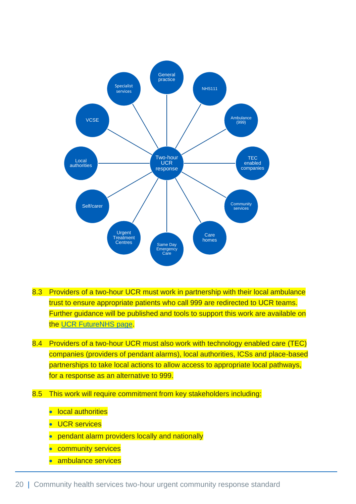

- 8.3 Providers of a two-hour UCR must work in partnership with their local ambulance trust to ensure appropriate patients who call 999 are redirected to UCR teams. Further guidance will be published and tools to support this work are available on the [UCR FutureNHS](https://future.nhs.uk/CommunityHealthServices/view?objectID=30923184) page.
- 8.4 Providers of a two-hour UCR must also work with technology enabled care (TEC) companies (providers of pendant alarms), local authorities, ICSs and place-based partnerships to take local actions to allow access to appropriate local pathways, for a response as an alternative to 999.
- 8.5 This work will require commitment from key stakeholders including:
	- local authorities
	- UCR services
	- pendant alarm providers locally and nationally
	- community services
	- ambulance services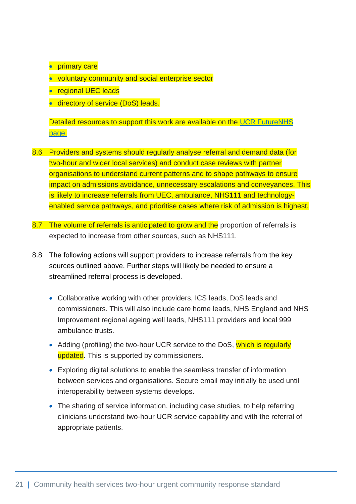- **•** primary care
- voluntary community and social enterprise sector
- regional UEC leads
- **directory of service (DoS) leads.**

Detailed resources to support this work are available on the [UCR FutureNHS](https://future.nhs.uk/CommunityHealthServices/view?objectID=16189712) [page.](https://future.nhs.uk/CommunityHealthServices/view?objectID=16189712)

- 8.6 Providers and systems should regularly analyse referral and demand data (for two-hour and wider local services) and conduct case reviews with partner organisations to understand current patterns and to shape pathways to ensure impact on admissions avoidance, unnecessary escalations and conveyances. This is likely to increase referrals from UEC, ambulance, NHS111 and technologyenabled service pathways, and prioritise cases where risk of admission is highest.
- 8.7 The volume of referrals is anticipated to grow and the proportion of referrals is expected to increase from other sources, such as NHS111.
- 8.8 The following actions will support providers to increase referrals from the key sources outlined above. Further steps will likely be needed to ensure a streamlined referral process is developed.
	- Collaborative working with other providers, ICS leads, DoS leads and commissioners. This will also include care home leads, NHS England and NHS Improvement regional ageing well leads, NHS111 providers and local 999 ambulance trusts.
	- Adding (profiling) the two-hour UCR service to the DoS, which is regularly updated. This is supported by commissioners.
	- Exploring digital solutions to enable the seamless transfer of information between services and organisations. Secure email may initially be used until interoperability between systems develops.
	- The sharing of service information, including case studies, to help referring clinicians understand two-hour UCR service capability and with the referral of appropriate patients.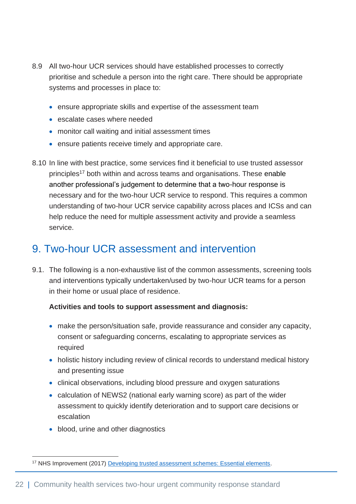- 8.9 All two-hour UCR services should have established processes to correctly prioritise and schedule a person into the right care. There should be appropriate systems and processes in place to:
	- ensure appropriate skills and expertise of the assessment team
	- escalate cases where needed
	- monitor call waiting and initial assessment times
	- ensure patients receive timely and appropriate care.
- 8.10 In line with best practice, some services find it beneficial to use trusted assessor principles<sup>17</sup> both within and across teams and organisations. These enable another professional's judgement to determine that a two-hour response is necessary and for the two-hour UCR service to respond. This requires a common understanding of two-hour UCR service capability across places and ICSs and can help reduce the need for multiple assessment activity and provide a seamless service.

## <span id="page-22-0"></span>9. Two-hour UCR assessment and intervention

9.1. The following is a non-exhaustive list of the common assessments, screening tools and interventions typically undertaken/used by two-hour UCR teams for a person in their home or usual place of residence.

#### **Activities and tools to support assessment and diagnosis:**

- make the person/situation safe, provide reassurance and consider any capacity, consent or safeguarding concerns, escalating to appropriate services as required
- holistic history including review of clinical records to understand medical history and presenting issue
- clinical observations, including blood pressure and oxygen saturations
- calculation of [NEWS2](https://www.rcplondon.ac.uk/projects/outputs/national-early-warning-score-news-2) (national early warning score) as part of the wider assessment to quickly identify deterioration and to support care decisions or escalation
- blood, urine and other diagnostics

<sup>17</sup> NHS Improvement (2017) [Developing trusted assessment schemes: Essential elements.](https://improvement.nhs.uk/resources/developing-trusted-assessment-schemes-essential-elements/)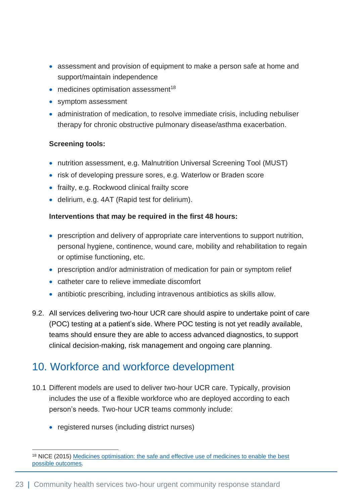- assessment and provision of equipment to make a person safe at home and support/maintain independence
- $\bullet$  medicines optimisation assessment<sup>18</sup>
- symptom assessment
- administration of medication, to resolve immediate crisis, including nebuliser therapy for chronic obstructive pulmonary disease/asthma exacerbation.

#### **Screening tools:**

- nutrition assessment, e.g. [Malnutrition Universal Screening Tool \(MUST\)](https://www.bapen.org.uk/pdfs/must/must_full.pdf)
- risk of developing pressure sores, e.g. [Waterlow](http://www.judy-waterlow.co.uk/downloads/Waterlow%20Score%20Card-front.pdf) or [Braden](http://www.healthcareimprovementscotland.org/programmes/patient_safety/tissue_viability_resources/braden_risk_assessment_tool.aspx) score
- frailty, e.g. [Rockwood clinical frailty score](https://nhsengland.sharepoint.com/sites/DischargeandCommunityCell2/Shared%20Documents/06.%20Urgent%20Community%20Response/11.%202hr%20Clinical%20Framework%20Project/Final%20draft%20of%20the%20document%20and%20final%20stakeholder%20feedback/1.%20LATEST%20DRAFT%20OF%20THE%20DOCUMENT/Rockwood%20clinical%20frailty%20score)
- delirium, e.g. [4AT](https://www.the4at.com/) (Rapid test for delirium).

#### **Interventions that may be required in the first 48 hours:**

- prescription and delivery of appropriate care interventions to support nutrition, personal hygiene, continence, wound care, mobility and rehabilitation to regain or optimise functioning, etc.
- prescription and/or administration of medication for pain or symptom relief
- catheter care to relieve immediate discomfort
- antibiotic prescribing, including intravenous antibiotics as skills allow.
- 9.2. All services delivering two-hour UCR care should aspire to undertake point of care (POC) testing at a patient's side. Where POC testing is not yet readily available, teams should ensure they are able to access advanced diagnostics, to support clinical decision-making, risk management and ongoing care planning.

## <span id="page-23-0"></span>10. Workforce and workforce development

- 10.1 Different models are used to deliver two-hour UCR care. Typically, provision includes the use of a flexible workforce who are deployed according to each person's needs. Two-hour UCR teams commonly include:
	- registered nurses (including district nurses)

<sup>18</sup> NICE (2015) [Medicines optimisation: the safe and effective use of medicines to enable the best](https://www.nice.org.uk/guidance/ng5)  [possible outcomes](https://www.nice.org.uk/guidance/ng5).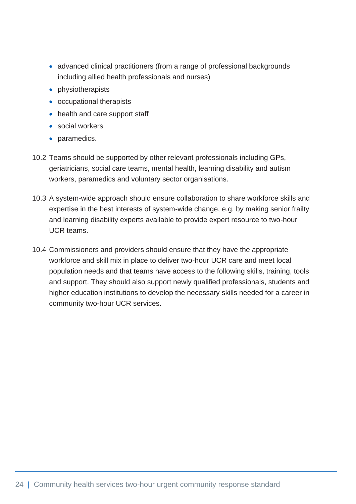- advanced clinical practitioners (from a range of professional backgrounds including allied health professionals and nurses)
- physiotherapists
- occupational therapists
- health and care support staff
- social workers
- paramedics.
- 10.2 Teams should be supported by other relevant professionals including GPs, geriatricians, social care teams, mental health, learning disability and autism workers, paramedics and voluntary sector organisations.
- 10.3 A system-wide approach should ensure collaboration to share workforce skills and expertise in the best interests of system-wide change, e.g. by making senior frailty and learning disability experts available to provide expert resource to two-hour UCR teams.
- 10.4 Commissioners and providers should ensure that they have the appropriate workforce and skill mix in place to deliver two-hour UCR care and meet local population needs and that teams have access to the following skills, training, tools and support. They should also support newly qualified professionals, students and higher education institutions to develop the necessary skills needed for a career in community two-hour UCR services.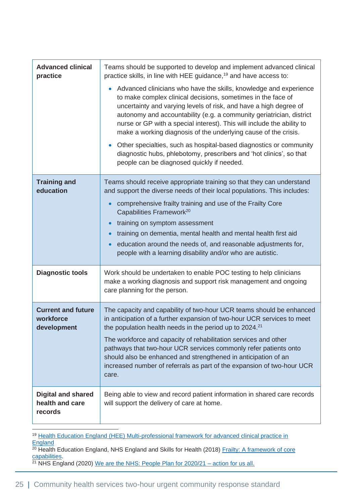| <b>Advanced clinical</b><br>practice                    | Teams should be supported to develop and implement advanced clinical<br>practice skills, in line with HEE guidance, <sup>19</sup> and have access to:<br>• Advanced clinicians who have the skills, knowledge and experience<br>to make complex clinical decisions, sometimes in the face of<br>uncertainty and varying levels of risk, and have a high degree of<br>autonomy and accountability (e.g. a community geriatrician, district<br>nurse or GP with a special interest). This will include the ability to<br>make a working diagnosis of the underlying cause of the crisis.<br>Other specialties, such as hospital-based diagnostics or community<br>diagnostic hubs, phlebotomy, prescribers and 'hot clinics', so that<br>people can be diagnosed quickly if needed. |
|---------------------------------------------------------|-----------------------------------------------------------------------------------------------------------------------------------------------------------------------------------------------------------------------------------------------------------------------------------------------------------------------------------------------------------------------------------------------------------------------------------------------------------------------------------------------------------------------------------------------------------------------------------------------------------------------------------------------------------------------------------------------------------------------------------------------------------------------------------|
| <b>Training and</b><br>education                        | Teams should receive appropriate training so that they can understand<br>and support the diverse needs of their local populations. This includes:<br>comprehensive frailty training and use of the Frailty Core<br>Capabilities Framework <sup>20</sup><br>training on symptom assessment<br>training on dementia, mental health and mental health first aid<br>education around the needs of, and reasonable adjustments for,<br>people with a learning disability and/or who are autistic.                                                                                                                                                                                                                                                                                      |
| <b>Diagnostic tools</b>                                 | Work should be undertaken to enable POC testing to help clinicians<br>make a working diagnosis and support risk management and ongoing<br>care planning for the person.                                                                                                                                                                                                                                                                                                                                                                                                                                                                                                                                                                                                           |
| <b>Current and future</b><br>workforce<br>development   | The capacity and capability of two-hour UCR teams should be enhanced<br>in anticipation of a further expansion of two-hour UCR services to meet<br>the population health needs in the period up to 2024. <sup>21</sup><br>The workforce and capacity of rehabilitation services and other<br>pathways that two-hour UCR services commonly refer patients onto<br>should also be enhanced and strengthened in anticipation of an<br>increased number of referrals as part of the expansion of two-hour UCR<br>care.                                                                                                                                                                                                                                                                |
| <b>Digital and shared</b><br>health and care<br>records | Being able to view and record patient information in shared care records<br>will support the delivery of care at home.                                                                                                                                                                                                                                                                                                                                                                                                                                                                                                                                                                                                                                                            |

<sup>19</sup> Health Education England (HEE) Multi-professional framework for advanced clinical practice in **[England](https://www.hee.nhs.uk/sites/default/files/documents/Multi-professional%20framework%20for%20advanced%20clinical%20practice%20in%20England.pdf)** 

<sup>20</sup> Health Education England, NHS England and Skills for Health (2018) Frailty: A framework of core [capabilities.](https://skillsforhealth.org.uk/wp-content/uploads/2021/01/Frailty-framework.pdf)

<sup>21</sup> NHS England (2020) [We are the NHS: People Plan for 2020/21 –](file:///C:/Users/kevans1/AppData/Local/Microsoft/Windows/INetCache/Content.Outlook/KTGAXQWT/We%20are%20the%20NHS:%20People%20Plan%20for%202020/21) action for us all.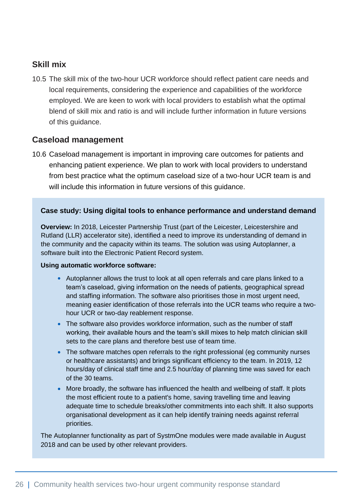### **Skill mix**

10.5 The skill mix of the two-hour UCR workforce should reflect patient care needs and local requirements, considering the experience and capabilities of the workforce employed. We are keen to work with local providers to establish what the optimal blend of skill mix and ratio is and will include further information in future versions of this guidance.

### **Caseload management**

10.6 Caseload management is important in improving care outcomes for patients and enhancing patient experience. We plan to work with local providers to understand from best practice what the optimum caseload size of a two-hour UCR team is and will include this information in future versions of this guidance.

#### **Case study: Using digital tools to enhance performance and understand demand**

**Overview:** In 2018, Leicester Partnership Trust (part of the Leicester, Leicestershire and Rutland (LLR) accelerator site), identified a need to improve its understanding of demand in the community and the capacity within its teams. The solution was using Autoplanner, a software built into the Electronic Patient Record system.

#### **Using automatic workforce software:**

- Autoplanner allows the trust to look at all open referrals and care plans linked to a team's caseload, giving information on the needs of patients, geographical spread and staffing information. The software also prioritises those in most urgent need, meaning easier identification of those referrals into the UCR teams who require a twohour UCR or two-day reablement response.
- The software also provides workforce information, such as the number of staff working, their available hours and the team's skill mixes to help match clinician skill sets to the care plans and therefore best use of team time.
- The software matches open referrals to the right professional (eq community nurses or healthcare assistants) and brings significant efficiency to the team. In 2019, 12 hours/day of clinical staff time and 2.5 hour/day of planning time was saved for each of the 30 teams.
- More broadly, the software has influenced the health and wellbeing of staff. It plots the most efficient route to a patient's home, saving travelling time and leaving adequate time to schedule breaks/other commitments into each shift. It also supports organisational development as it can help identify training needs against referral priorities.

The Autoplanner functionality as part of SystmOne modules were made available in August 2018 and can be used by other relevant providers.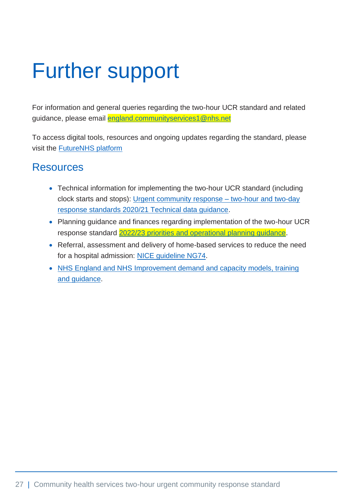# <span id="page-27-0"></span>Further support

For information and general queries regarding the two-hour UCR standard and related guidance, please email [england.communityservices1@nhs.net](mailto:england.communityservices1@nhs.net)

To access digital tools, resources and ongoing updates regarding the standard, please visit the [FutureNHS platform](https://future.nhs.uk/connect.ti/CommunityHealthServices/view?objectID=16189712)

## <span id="page-27-1"></span>Resources

- Technical information for implementing the two-hour UCR standard (including clock starts and stops): [Urgent community response –](https://www.england.nhs.uk/coronavirus/publication/urgent-community-response-two-hour-and-two-day-response-standards-2020-21-technical-data-guidance/) two-hour and two-day [response standards 2020/21 Technical data guidance.](https://www.england.nhs.uk/coronavirus/publication/urgent-community-response-two-hour-and-two-day-response-standards-2020-21-technical-data-guidance/)
- Planning guidance and finances regarding implementation of the two-hour UCR response standard [2022/23 priorities and operational planning guidance.](https://www.england.nhs.uk/publication/2022-23-priorities-and-operational-planning-guidance/)
- Referral, assessment and delivery of home-based services to reduce the need for a hospital admission: [NICE guideline NG74.](https://www.nice.org.uk/guidance/NG74)
- [NHS England and NHS Improvement demand and capacity models, training](https://www.england.nhs.uk/ourwork/demand-and-capacity/)  [and guidance.](https://www.england.nhs.uk/ourwork/demand-and-capacity/)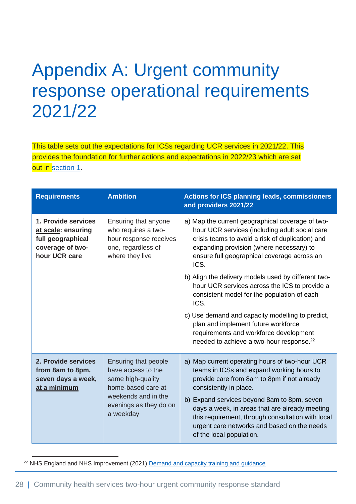## <span id="page-28-0"></span>Appendix A: Urgent community response operational requirements 2021/22

This table sets out the expectations for ICSs regarding UCR services in 2021/22. This provides the foundation for further actions and expectations in 2022/23 which are set out in [section 1.](#page-3-1)

| <b>Requirements</b>                                                                                                                                                                                                                  | <b>Ambition</b>                                                                                                                                                      | <b>Actions for ICS planning leads, commissioners</b><br>and providers 2021/22                                                                                                                                                                             |
|--------------------------------------------------------------------------------------------------------------------------------------------------------------------------------------------------------------------------------------|----------------------------------------------------------------------------------------------------------------------------------------------------------------------|-----------------------------------------------------------------------------------------------------------------------------------------------------------------------------------------------------------------------------------------------------------|
| 1. Provide services<br>at scale: ensuring<br>full geographical<br>coverage of two-<br>hour UCR care                                                                                                                                  | Ensuring that anyone<br>who requires a two-<br>hour response receives<br>one, regardless of<br>where they live                                                       | a) Map the current geographical coverage of two-<br>hour UCR services (including adult social care<br>crisis teams to avoid a risk of duplication) and<br>expanding provision (where necessary) to<br>ensure full geographical coverage across an<br>ICS. |
|                                                                                                                                                                                                                                      |                                                                                                                                                                      | b) Align the delivery models used by different two-<br>hour UCR services across the ICS to provide a<br>consistent model for the population of each<br>ICS.                                                                                               |
|                                                                                                                                                                                                                                      |                                                                                                                                                                      | c) Use demand and capacity modelling to predict,<br>plan and implement future workforce<br>requirements and workforce development<br>needed to achieve a two-hour response. <sup>22</sup>                                                                 |
| 2. Provide services<br>Ensuring that people<br>from 8am to 8pm,<br>have access to the<br>seven days a week,<br>same high-quality<br>home-based care at<br>at a minimum<br>weekends and in the<br>evenings as they do on<br>a weekday | a) Map current operating hours of two-hour UCR<br>teams in ICSs and expand working hours to<br>provide care from 8am to 8pm if not already<br>consistently in place. |                                                                                                                                                                                                                                                           |
|                                                                                                                                                                                                                                      |                                                                                                                                                                      | b) Expand services beyond 8am to 8pm, seven<br>days a week, in areas that are already meeting<br>this requirement, through consultation with local<br>urgent care networks and based on the needs<br>of the local population.                             |

<sup>22</sup> NHS England and NHS Improvement (2021) [Demand and capacity training and guidance](https://www.england.nhs.uk/ourwork/demand-and-capacity/training/)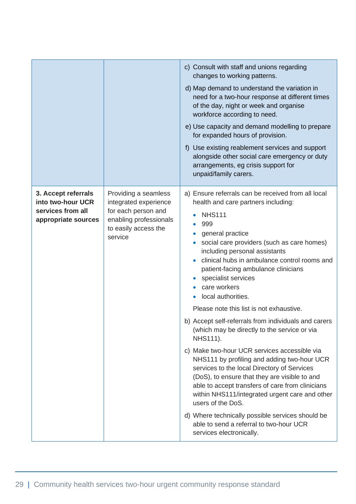|                                                                                      |                                                                                                                                   | c) Consult with staff and unions regarding<br>changes to working patterns.<br>d) Map demand to understand the variation in<br>need for a two-hour response at different times<br>of the day, night or week and organise<br>workforce according to need.<br>e) Use capacity and demand modelling to prepare<br>for expanded hours of provision.<br>f) Use existing reablement services and support<br>alongside other social care emergency or duty<br>arrangements, eg crisis support for<br>unpaid/family carers.                                                                                                                                                                                                                                                                                                                                                                                                                                                                                   |
|--------------------------------------------------------------------------------------|-----------------------------------------------------------------------------------------------------------------------------------|------------------------------------------------------------------------------------------------------------------------------------------------------------------------------------------------------------------------------------------------------------------------------------------------------------------------------------------------------------------------------------------------------------------------------------------------------------------------------------------------------------------------------------------------------------------------------------------------------------------------------------------------------------------------------------------------------------------------------------------------------------------------------------------------------------------------------------------------------------------------------------------------------------------------------------------------------------------------------------------------------|
| 3. Accept referrals<br>into two-hour UCR<br>services from all<br>appropriate sources | Providing a seamless<br>integrated experience<br>for each person and<br>enabling professionals<br>to easily access the<br>service | a) Ensure referrals can be received from all local<br>health and care partners including:<br><b>NHS111</b><br>999<br>general practice<br>social care providers (such as care homes)<br>including personal assistants<br>clinical hubs in ambulance control rooms and<br>patient-facing ambulance clinicians<br>specialist services<br>care workers<br>local authorities.<br>Please note this list is not exhaustive.<br>b) Accept self-referrals from individuals and carers<br>(which may be directly to the service or via<br><b>NHS111).</b><br>c) Make two-hour UCR services accessible via<br>NHS111 by profiling and adding two-hour UCR<br>services to the local Directory of Services<br>(DoS), to ensure that they are visible to and<br>able to accept transfers of care from clinicians<br>within NHS111/integrated urgent care and other<br>users of the DoS.<br>d) Where technically possible services should be<br>able to send a referral to two-hour UCR<br>services electronically. |